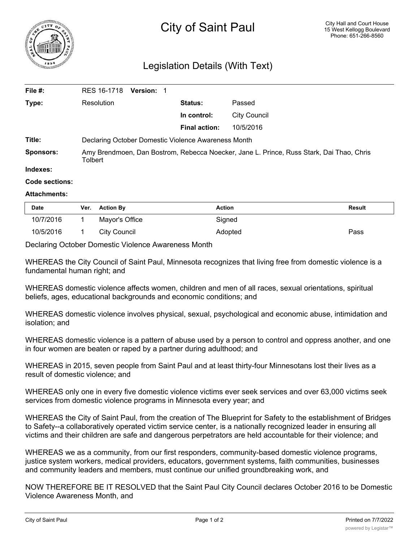

## Legislation Details (With Text)

| File #:        | RES 16-1718<br><b>Version: 1</b>                                                                    |                      |                     |  |  |
|----------------|-----------------------------------------------------------------------------------------------------|----------------------|---------------------|--|--|
| Type:          | Resolution                                                                                          | <b>Status:</b>       | Passed              |  |  |
|                |                                                                                                     | In control:          | <b>City Council</b> |  |  |
|                |                                                                                                     | <b>Final action:</b> | 10/5/2016           |  |  |
| Title:         | Declaring October Domestic Violence Awareness Month                                                 |                      |                     |  |  |
| Sponsors:      | Amy Brendmoen, Dan Bostrom, Rebecca Noecker, Jane L. Prince, Russ Stark, Dai Thao, Chris<br>Tolbert |                      |                     |  |  |
| Indexes:       |                                                                                                     |                      |                     |  |  |
| Code sections: |                                                                                                     |                      |                     |  |  |

## **Attachments:**

| <b>Date</b> | Ver. Action By | <b>Action</b> | <b>Result</b> |
|-------------|----------------|---------------|---------------|
| 10/7/2016   | Mayor's Office | Signed        |               |
| 10/5/2016   | City Council   | Adopted       | Pass          |

Declaring October Domestic Violence Awareness Month

WHEREAS the City Council of Saint Paul, Minnesota recognizes that living free from domestic violence is a fundamental human right; and

WHEREAS domestic violence affects women, children and men of all races, sexual orientations, spiritual beliefs, ages, educational backgrounds and economic conditions; and

WHEREAS domestic violence involves physical, sexual, psychological and economic abuse, intimidation and isolation; and

WHEREAS domestic violence is a pattern of abuse used by a person to control and oppress another, and one in four women are beaten or raped by a partner during adulthood; and

WHEREAS in 2015, seven people from Saint Paul and at least thirty-four Minnesotans lost their lives as a result of domestic violence; and

WHEREAS only one in every five domestic violence victims ever seek services and over 63,000 victims seek services from domestic violence programs in Minnesota every year; and

WHEREAS the City of Saint Paul, from the creation of The Blueprint for Safety to the establishment of Bridges to Safety--a collaboratively operated victim service center, is a nationally recognized leader in ensuring all victims and their children are safe and dangerous perpetrators are held accountable for their violence; and

WHEREAS we as a community, from our first responders, community-based domestic violence programs, justice system workers, medical providers, educators, government systems, faith communities, businesses and community leaders and members, must continue our unified groundbreaking work, and

NOW THEREFORE BE IT RESOLVED that the Saint Paul City Council declares October 2016 to be Domestic Violence Awareness Month, and